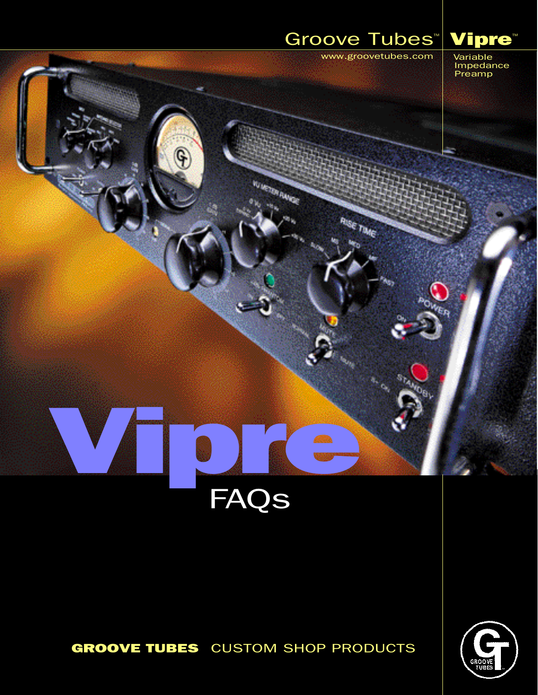# Groove Tubes<sup>M</sup> Vipre

Aug Tue

www.groovetubes.com

Variable Impedance Preamp

# Vipre **FAQs**

**WASTERWAY** 

Ĝ

## **GROOVE TUBES** CUSTOM SHOP PRODUCTS

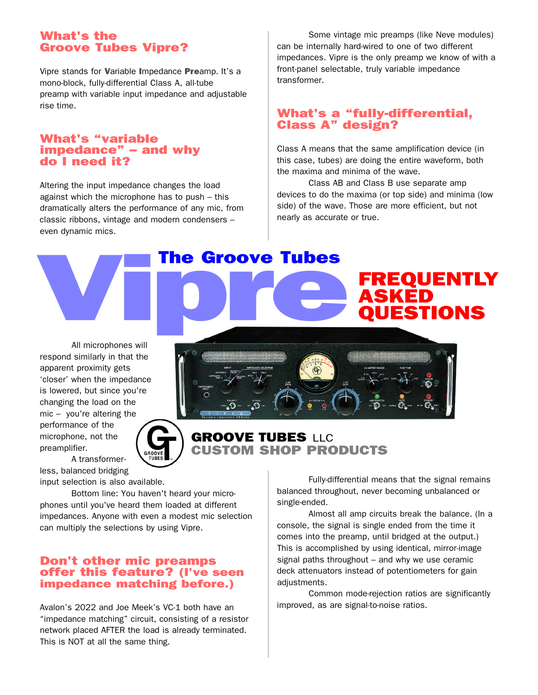### What's the Groove Tubes Vipre?

Vipre stands for Variable Impedance Preamp. It's a mono-block, fully-differential Class A, all-tube preamp with variable input impedance and adjustable rise time.

#### What's "variable impedance" – and why do I need it?

Altering the input impedance changes the load against which the microphone has to push – this dramatically alters the performance of any mic, from classic ribbons, vintage and modern condensers – even dynamic mics. classic ribbons, vintage and modern condensers –<br>
even dynamic mics.<br>
The Groove Tubes<br>
Viprechange will

Some vintage mic preamps (like Neve modules) can be internally hard-wired to one of two different impedances. Vipre is the only preamp we know of with a front-panel selectable, truly variable impedance transformer.

#### What's a "fully-differential, Class A" design?

Class A means that the same amplification device (in this case, tubes) are doing the entire waveform, both the maxima and minima of the wave.

Class AB and Class B use separate amp devices to do the maxima (or top side) and minima (low side) of the wave. Those are more efficient, but not nearly as accurate or true.

ASKED

FREQUENTLY

**JESTIONS** 

GROOVE TUBES LLC

All microphones will respond similarly in that the apparent proximity gets 'closer' when the impedance is lowered, but since you're changing the load on the mic – you're altering the performance of the microphone, not the preamplifier.

A transformerless, balanced bridging

input selection is also available.

Bottom line: You haven't heard your microphones until you've heard them loaded at different impedances. Anyone with even a modest mic selection can multiply the selections by using Vipre.

#### Don't other mic preamps offer this feature? (I've seen impedance matching before.)

Avalon's 2022 and Joe Meek's VC-1 both have an "impedance matching" circuit, consisting of a resistor network placed AFTER the load is already terminated. This is NOT at all the same thing.

Fully-differential means that the signal remains balanced throughout, never becoming unbalanced or CUSTOM SHOP PRODUCTS

> single-ended. Almost all amp circuits break the balance. (In a console, the signal is single ended from the time it comes into the preamp, until bridged at the output.) This is accomplished by using identical, mirror-image signal paths throughout – and why we use ceramic deck attenuators instead of potentiometers for gain adiustments.

> Common mode-rejection ratios are significantly improved, as are signal-to-noise ratios.